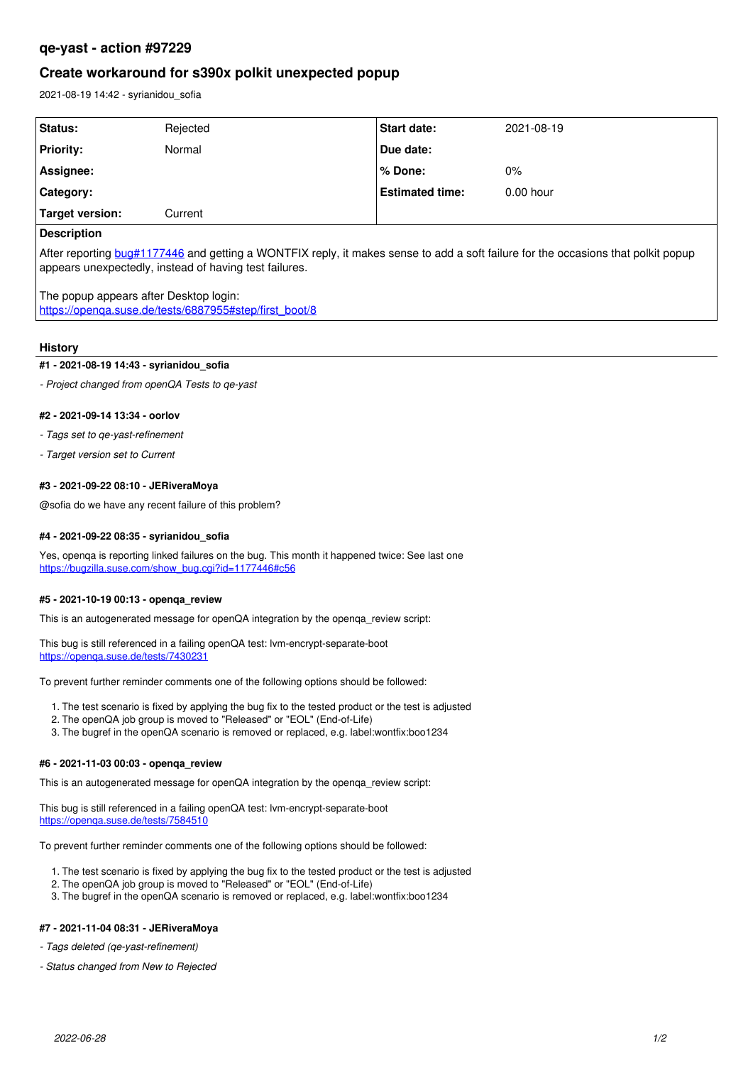## **qe-yast - action #97229**

# **Create workaround for s390x polkit unexpected popup**

2021-08-19 14:42 - syrianidou\_sofia

| Status:            | Rejected | Start date:            | 2021-08-19  |
|--------------------|----------|------------------------|-------------|
| <b>Priority:</b>   | Normal   | Due date:              |             |
| Assignee:          |          | l% Done:               | 0%          |
| <b>Category:</b>   |          | <b>Estimated time:</b> | $0.00$ hour |
| Target version:    | Current  |                        |             |
| <b>Description</b> |          |                        |             |

After reporting [bug#1177446](https://bugzilla.suse.com/show_bug.cgi?id=1177446) and getting a WONTFIX reply, it makes sense to add a soft failure for the occasions that polkit popup appears unexpectedly, instead of having test failures.

The popup appears after Desktop login: [https://openqa.suse.de/tests/6887955#step/first\\_boot/8](https://openqa.suse.de/tests/6887955#step/first_boot/8)

### **History**

#### **#1 - 2021-08-19 14:43 - syrianidou\_sofia**

*- Project changed from openQA Tests to qe-yast*

#### **#2 - 2021-09-14 13:34 - oorlov**

*- Tags set to qe-yast-refinement*

*- Target version set to Current*

### **#3 - 2021-09-22 08:10 - JERiveraMoya**

@sofia do we have any recent failure of this problem?

#### **#4 - 2021-09-22 08:35 - syrianidou\_sofia**

Yes, openqa is reporting linked failures on the bug. This month it happened twice: See last one [https://bugzilla.suse.com/show\\_bug.cgi?id=1177446#c56](https://bugzilla.suse.com/show_bug.cgi?id=1177446#c56)

### **#5 - 2021-10-19 00:13 - openqa\_review**

This is an autogenerated message for openQA integration by the openga\_review script:

This bug is still referenced in a failing openQA test: lvm-encrypt-separate-boot <https://openqa.suse.de/tests/7430231>

To prevent further reminder comments one of the following options should be followed:

- 1. The test scenario is fixed by applying the bug fix to the tested product or the test is adjusted
- 2. The openQA job group is moved to "Released" or "EOL" (End-of-Life)
- 3. The bugref in the openQA scenario is removed or replaced, e.g. label:wontfix:boo1234

#### **#6 - 2021-11-03 00:03 - openqa\_review**

This is an autogenerated message for openQA integration by the openqa\_review script:

This bug is still referenced in a failing openQA test: lvm-encrypt-separate-boot <https://openqa.suse.de/tests/7584510>

To prevent further reminder comments one of the following options should be followed:

1. The test scenario is fixed by applying the bug fix to the tested product or the test is adjusted

- 2. The openQA job group is moved to "Released" or "EOL" (End-of-Life)
- 3. The bugref in the openQA scenario is removed or replaced, e.g. label:wontfix:boo1234

## **#7 - 2021-11-04 08:31 - JERiveraMoya**

*- Tags deleted (qe-yast-refinement)*

*- Status changed from New to Rejected*